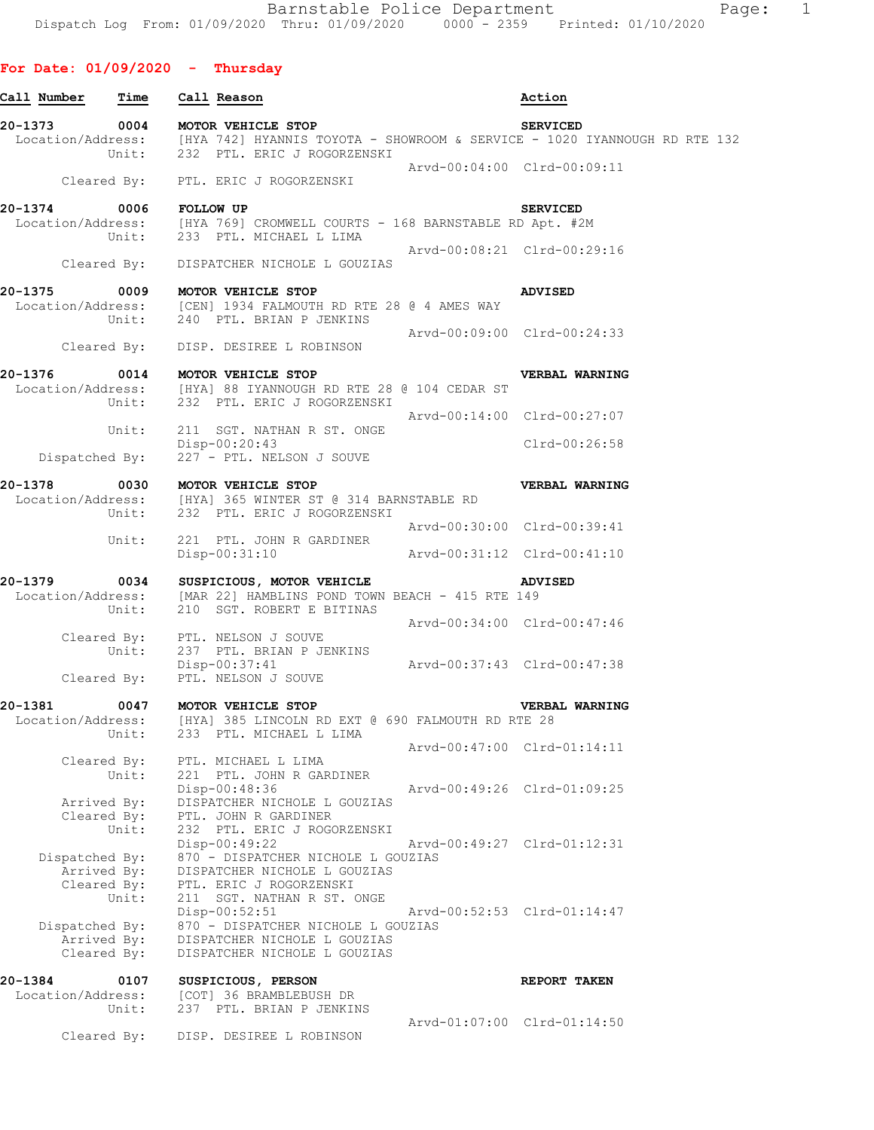| Call Number                                  | Time           | Call Reason                                                                                                                      |                             | Action                                                                                                                                                              |  |
|----------------------------------------------|----------------|----------------------------------------------------------------------------------------------------------------------------------|-----------------------------|---------------------------------------------------------------------------------------------------------------------------------------------------------------------|--|
|                                              |                |                                                                                                                                  |                             |                                                                                                                                                                     |  |
|                                              |                |                                                                                                                                  |                             | 20-1373 0004 MOTOR VEHICLE STOP<br>Location/Address: [HYA 742] HYANNIS TOYOTA - SHOWROOM & SERVICE - 1020 IYANNOUGH RD RTE 132<br>Unit: 232 PTL. ERIC J ROGORZENSKI |  |
|                                              |                | Cleared By: PTL. ERIC J ROGORZENSKI                                                                                              | Arvd-00:04:00 Clrd-00:09:11 |                                                                                                                                                                     |  |
| $20 - 1374$                                  | 0006 FOLLOW UP |                                                                                                                                  |                             | <b>SERVICED</b>                                                                                                                                                     |  |
|                                              |                | Location/Address: [HYA 769] CROMWELL COURTS - 168 BARNSTABLE RD Apt. #2M<br>Unit: 233 PTL. MICHAEL L LIMA                        |                             |                                                                                                                                                                     |  |
|                                              |                | Cleared By: DISPATCHER NICHOLE L GOUZIAS                                                                                         | Arvd-00:08:21 Clrd-00:29:16 |                                                                                                                                                                     |  |
| 20-1375                                      |                |                                                                                                                                  |                             |                                                                                                                                                                     |  |
|                                              |                | 0009 MOTOR VEHICLE STOP<br>Location/Address: [CEN] 1934 FALMOUTH RD RTE 28 @ 4 AMES WAY<br>Unit: 240 PTL. BRIAN P JENKINS        |                             | <b>ADVISED</b>                                                                                                                                                      |  |
|                                              |                | Cleared By: DISP. DESIREE L ROBINSON                                                                                             | Arvd-00:09:00 Clrd-00:24:33 |                                                                                                                                                                     |  |
| 20-1376                                      |                | 0014 MOTOR VEHICLE STOP<br>Location/Address: [HYA] 88 IYANNOUGH RD RTE 28 @ 104 CEDAR ST<br>Unit: 232 PTL. ERIC J ROGORZENSKI    |                             | VERBAL WARNING                                                                                                                                                      |  |
|                                              | Unit:          | 211 SGT. NATHAN R ST. ONGE                                                                                                       | Arvd-00:14:00 Clrd-00:27:07 |                                                                                                                                                                     |  |
| Dispatched By:                               |                | $Disp-00:20:43$<br>227 - PTL. NELSON J SOUVE                                                                                     |                             | Clrd-00:26:58                                                                                                                                                       |  |
| 20-1378 0030 MOTOR VEHICLE STOP              |                |                                                                                                                                  |                             | VERBAL WARNING                                                                                                                                                      |  |
|                                              |                | Location/Address: [HYA] 365 WINTER ST @ 314 BARNSTABLE RD<br>Unit: 232 PTL. ERIC J ROGORZENSKI                                   |                             |                                                                                                                                                                     |  |
|                                              | Unit:          | 221 PTL. JOHN R GARDINER                                                                                                         | Arvd-00:30:00 Clrd-00:39:41 |                                                                                                                                                                     |  |
|                                              |                | $Disp-00:31:10$                                                                                                                  | Arvd-00:31:12 Clrd-00:41:10 |                                                                                                                                                                     |  |
| 20-1379                                      | Unit:          | 0034 SUSPICIOUS, MOTOR VEHICLE<br>Location/Address: [MAR 22] HAMBLINS POND TOWN BEACH - 415 RTE 149<br>210 SGT. ROBERT E BITINAS |                             | <b>ADVISED</b>                                                                                                                                                      |  |
|                                              |                | Cleared By: PTL. NELSON J SOUVE<br>Unit: 237 PTL. BRIAN P JEM<br>237 PTL. BRIAN P JENKINS                                        | Arvd-00:34:00 Clrd-00:47:46 |                                                                                                                                                                     |  |
|                                              | Cleared By:    | Disp-00:37:41<br>PTL. NELSON J SOUVE<br>PTL. NELSON J SOUVE                                                                      |                             |                                                                                                                                                                     |  |
| 20-1381                                      |                |                                                                                                                                  |                             | <b>VERBAL WARNING</b>                                                                                                                                               |  |
|                                              | Unit:          | 233 PTL. MICHAEL L LIMA                                                                                                          |                             |                                                                                                                                                                     |  |
| Cleared By:                                  | Unit:          | PTL. MICHAEL L LIMA                                                                                                              |                             | Arvd-00:47:00 Clrd-01:14:11                                                                                                                                         |  |
| Arrived By:<br>Cleared By:                   |                | 221 PTL. JOHN R GARDINER<br>Disp-00:48:36<br>DISPATCHER NICHOLE L GOUZIAS<br>PTL. JOHN R GARDINER                                |                             | Arvd-00:49:26 Clrd-01:09:25                                                                                                                                         |  |
| Dispatched By:                               | Unit:          | 232 PTL. ERIC J ROGORZENSKI<br>Disp-00:49:22<br>870 - DISPATCHER NICHOLE L GOUZIAS                                               |                             | Arvd-00:49:27 Clrd-01:12:31                                                                                                                                         |  |
| Arrived By:<br>Cleared By:                   | Unit:          | DISPATCHER NICHOLE L GOUZIAS<br>PTL. ERIC J ROGORZENSKI<br>211 SGT. NATHAN R ST. ONGE                                            |                             |                                                                                                                                                                     |  |
| Dispatched By:<br>Arrived By:<br>Cleared By: |                | Disp-00:52:51<br>870 - DISPATCHER NICHOLE L GOUZIAS<br>DISPATCHER NICHOLE L GOUZIAS<br>DISPATCHER NICHOLE L GOUZIAS              |                             | Arvd-00:52:53 Clrd-01:14:47                                                                                                                                         |  |
| 20-1384<br>Location/Address:                 | 0107<br>Unit:  | SUSPICIOUS, PERSON<br>[COT] 36 BRAMBLEBUSH DR<br>237 PTL. BRIAN P JENKINS                                                        |                             | REPORT TAKEN                                                                                                                                                        |  |
| Cleared By:                                  |                | DISP. DESIREE L ROBINSON                                                                                                         |                             | Arvd-01:07:00 Clrd-01:14:50                                                                                                                                         |  |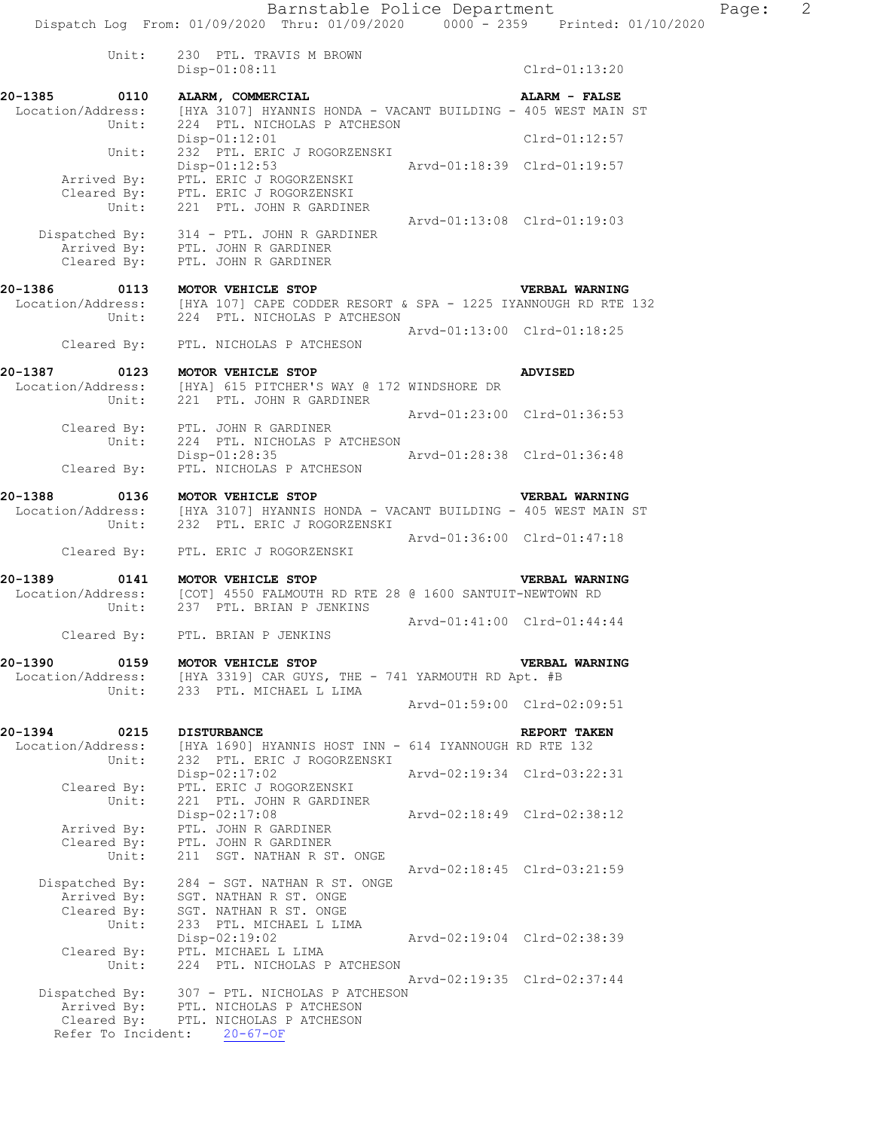| ALARM, COMMERCIAL          |                                                                                                                                    | ALARM - FALSE                |                                                                                                                             |
|----------------------------|------------------------------------------------------------------------------------------------------------------------------------|------------------------------|-----------------------------------------------------------------------------------------------------------------------------|
|                            |                                                                                                                                    |                              |                                                                                                                             |
|                            |                                                                                                                                    |                              |                                                                                                                             |
| $Disp-01:12:01$            |                                                                                                                                    | $Clrd-01:12:57$              |                                                                                                                             |
|                            |                                                                                                                                    |                              |                                                                                                                             |
| $Disp-01:12:53$            |                                                                                                                                    |                              |                                                                                                                             |
| PTL. ERIC J ROGORZENSKI    |                                                                                                                                    |                              |                                                                                                                             |
|                            |                                                                                                                                    |                              |                                                                                                                             |
|                            |                                                                                                                                    |                              |                                                                                                                             |
|                            |                                                                                                                                    |                              |                                                                                                                             |
| 314 - PTL. JOHN R GARDINER |                                                                                                                                    |                              |                                                                                                                             |
|                            |                                                                                                                                    |                              |                                                                                                                             |
|                            |                                                                                                                                    |                              |                                                                                                                             |
|                            | 232 PTL. ERIC J ROGORZENSKI<br>PTL. ERIC J ROGORZENSKI<br>221 PTL. JOHN R GARDINER<br>PTL. JOHN R GARDINER<br>PTL. JOHN R GARDINER | 224 PTL, NICHOLAS P ATCHESON | [HYA 3107] HYANNIS HONDA - VACANT BUILDING - 405 WEST MAIN ST<br>Aryd-01:18:39 Clrd-01:19:57<br>Aryd-01:13:08 Clrd-01:19:03 |

### **20-1386 0113 MOTOR VEHICLE STOP VERBAL WARNING**  Location/Address: [HYA 107] CAPE CODDER RESORT & SPA - 1225 IYANNOUGH RD RTE 132 Unit: 224 PTL. NICHOLAS P ATCHESON Arvd-01:13:00 Clrd-01:18:25 Cleared By: PTL. NICHOLAS P ATCHESON

### **20-1387 0123 MOTOR VEHICLE STOP ADVISED**  Location/Address: [HYA] 615 PITCHER'S WAY @ 172 WINDSHORE DR Unit: 221 PTL. JOHN R GARDINER Arvd-01:23:00 Clrd-01:36:53 Cleared By: PTL. JOHN R GARDINER Unit: 224 PTL. NICHOLAS P ATCHESON Disp-01:28:35 Arvd-01:28:38 Clrd-01:36:48 Cleared By: PTL. NICHOLAS P ATCHESON

## **20-1388 0136 MOTOR VEHICLE STOP WERBAL WARNING**<br>Location/Address: [HYA 3107] HYANNIS HONDA - VACANT BUILDING - 405 WEST MAIN<br>Unit: 232 PTL. ERIC J ROGORZENSKI [HYA 3107] HYANNIS HONDA - VACANT BUILDING - 405 WEST MAIN ST 232 PTL. ERIC J ROGORZENSKI Arvd-01:36:00 Clrd-01:47:18

Cleared By: PTL. ERIC J ROGORZENSKI

# **20-1389 0141 MOTOR VEHICLE STOP VERBAL WARNING**

### [COT] 4550 FALMOUTH RD RTE 28 @ 1600 SANTUIT-NEWTOWN RD Location/Address: [COT] 4550 FALMOUTH RD RTE<br>Unit: 237 PTL. BRIAN P JENKINS Arvd-01:41:00 Clrd-01:44:44

Cleared By: PTL. BRIAN P JENKINS

## **20-1390 0159 MOTOR VEHICLE STOP VERBAL WARNING**   $[HYA 3319]$  CAR GUYS, THE - 741 YARMOUTH RD Apt. #B Unit: 233 PTL. MICHAEL L LIMA Arvd-01:59:00 Clrd-02:09:51

#### **20-1394 0215 DISTURBANCE REPORT TAKEN**  Location/Address: [HYA 1690] HYANNIS HOST INN - 614 IYANNOUGH RD RTE 132 Unit: 232 PTL. ERIC J ROGORZENSKI Disp-02:17:02 Arvd-02:19:34 Clrd-03:22:31 Cleared By: PTL. ERIC J ROGORZENSKI Unit: 221 PTL. JOHN R GARDINER Disp-02:17:08 Arvd-02:18:49 Clrd-02:38:12 Arrived By: PTL. JOHN R GARDINER Cleared By: PTL. JOHN R GARDINER Unit: 211 SGT. NATHAN R ST. ONGE Arvd-02:18:45 Clrd-03:21:59 Dispatched By: 284 - SGT. NATHAN R ST. ONGE .<br>Arrived By: SGT. NATHAN R ST. ONGE Cleared By: SGT. NATHAN R ST. ONGE Unit: 233 PTL. MICHAEL L LIMA

 Disp-02:19:02 Arvd-02:19:04 Clrd-02:38:39 Cleared By: PTL. MICHAEL L LIMA Unit: 224 PTL. NICHOLAS P ATCHESON Arvd-02:19:35 Clrd-02:37:44 Dispatched By: 307 - PTL. NICHOLAS P ATCHESON .<br>Arrived By: PTL. NICHOLAS P ATCHESON Cleared By: PTL. NICHOLAS P ATCHESON

Refer To Incident: 20-67-OF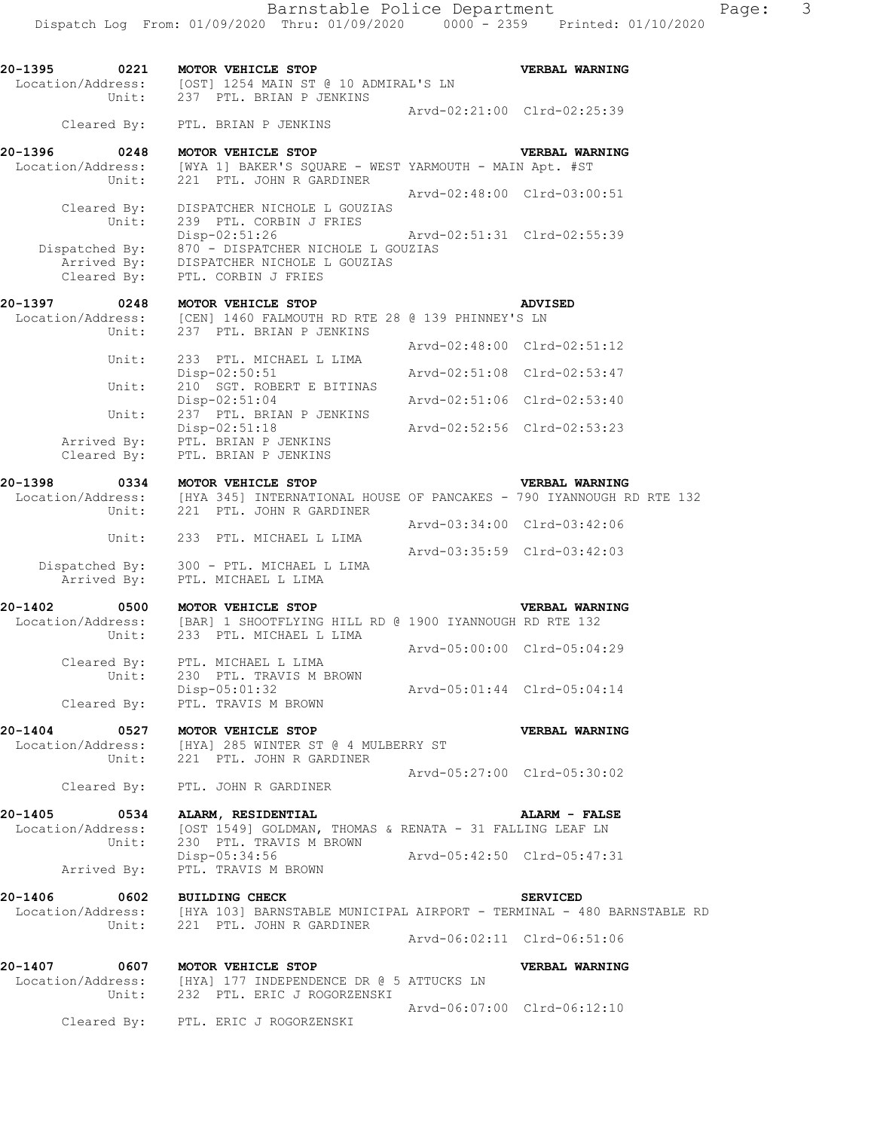**20-1395 0221 MOTOR VEHICLE STOP VERBAL WARNING**  Location/Address: [OST] 1254 MAIN ST @ 10 ADMIRAL'S LN Unit: 237 PTL. BRIAN P JENKINS Arvd-02:21:00 Clrd-02:25:39 Cleared By: PTL. BRIAN P JENKINS **20-1396 0248 MOTOR VEHICLE STOP VERBAL WARNING**  Location/Address: [WYA 1] BAKER'S SQUARE - WEST YARMOUTH - MAIN Apt. #ST Unit: 221 PTL. JOHN R GARDINER Arvd-02:48:00 Clrd-03:00:51 Cleared By: DISPATCHER NICHOLE L GOUZIAS Unit: 239 PTL. CORBIN J FRIES Disp-02:51:26 Arvd-02:51:31 Clrd-02:55:39 Dispatched By: 870 - DISPATCHER NICHOLE L GOUZIAS .<br>Arrived By: DISPATCHER NICHOLE L GOUZIAS Cleared By: PTL. CORBIN J FRIES **20-1397 0248 MOTOR VEHICLE STOP ADVISED**  Location/Address: [CEN] 1460 FALMOUTH RD RTE 28 @ 139 PHINNEY'S LN Unit: 237 PTL. BRIAN P JENKINS Arvd-02:48:00 Clrd-02:51:12 Unit: 233 PTL. MICHAEL L LIMA Disp-02:50:51 Arvd-02:51:08 Clrd-02:53:47 Unit: 210 SGT. ROBERT E BITINAS Disp-02:51:04 Arvd-02:51:06 Clrd-02:53:40 Unit: 237 PTL. BRIAN P JENKINS Disp-02:51:18 Arvd-02:52:56 Clrd-02:53:23 Arrived By: PTL. BRIAN P JENKINS Cleared By: PTL. BRIAN P JENKINS **20-1398 0334 MOTOR VEHICLE STOP VERBAL WARNING**  [HYA 345] INTERNATIONAL HOUSE OF PANCAKES - 790 IYANNOUGH RD RTE 132 Unit: 221 PTL. JOHN R GARDINER Arvd-03:34:00 Clrd-03:42:06 Unit: 233 PTL. MICHAEL L LIMA Arvd-03:35:59 Clrd-03:42:03 Dispatched By: 300 - PTL. MICHAEL L LIMA .<br>Arrived By: PTL. MICHAEL L LIMA **20-1402 0500 MOTOR VEHICLE STOP VERBAL WARNING**  Location/Address: [BAR] 1 SHOOTFLYING HILL RD @ 1900 IYANNOUGH RD RTE 132 Unit: 233 PTL. MICHAEL L LIMA  $Arvd-05:00:00$   $Clrd-05:04:29$  Cleared By: PTL. MICHAEL L LIMA Unit: 230 PTL. TRAVIS M BROWN Disp-05:01:32 Arvd-05:01:44 Clrd-05:04:14 Disp-05:01:32<br>Cleared By: PTL. TRAVIS M BROWN **20-1404 0527 MOTOR VEHICLE STOP VERBAL WARNING**  Location/Address: [HYA] 285 WINTER ST @ 4 MULBERRY ST Unit: 221 PTL. JOHN R GARDINER Arvd-05:27:00 Clrd-05:30:02 Cleared By: PTL. JOHN R GARDINER **20-1405 0534 ALARM, RESIDENTIAL ALARM - FALSE**  Location/Address: [OST 1549] GOLDMAN, THOMAS & RENATA - 31 FALLING LEAF LN Unit: 230 PTL. TRAVIS M BROWN Disp-05:34:56 Arvd-05:42:50 Clrd-05:47:31 Arrived By: PTL. TRAVIS M BROWN **20-1406 0602 BUILDING CHECK SERVICED**  Location/Address: [HYA 103] BARNSTABLE MUNICIPAL AIRPORT - TERMINAL - 480 BARNSTABLE RD Unit: 221 PTL. JOHN R GARDINER Arvd-06:02:11 Clrd-06:51:06 **20-1407 0607 MOTOR VEHICLE STOP VERBAL WARNING**  Location/Address: [HYA] 177 INDEPENDENCE DR @ 5 ATTUCKS LN Unit: 232 PTL. ERIC J ROGORZENSKI Arvd-06:07:00 Clrd-06:12:10 Cleared By: PTL. ERIC J ROGORZENSKI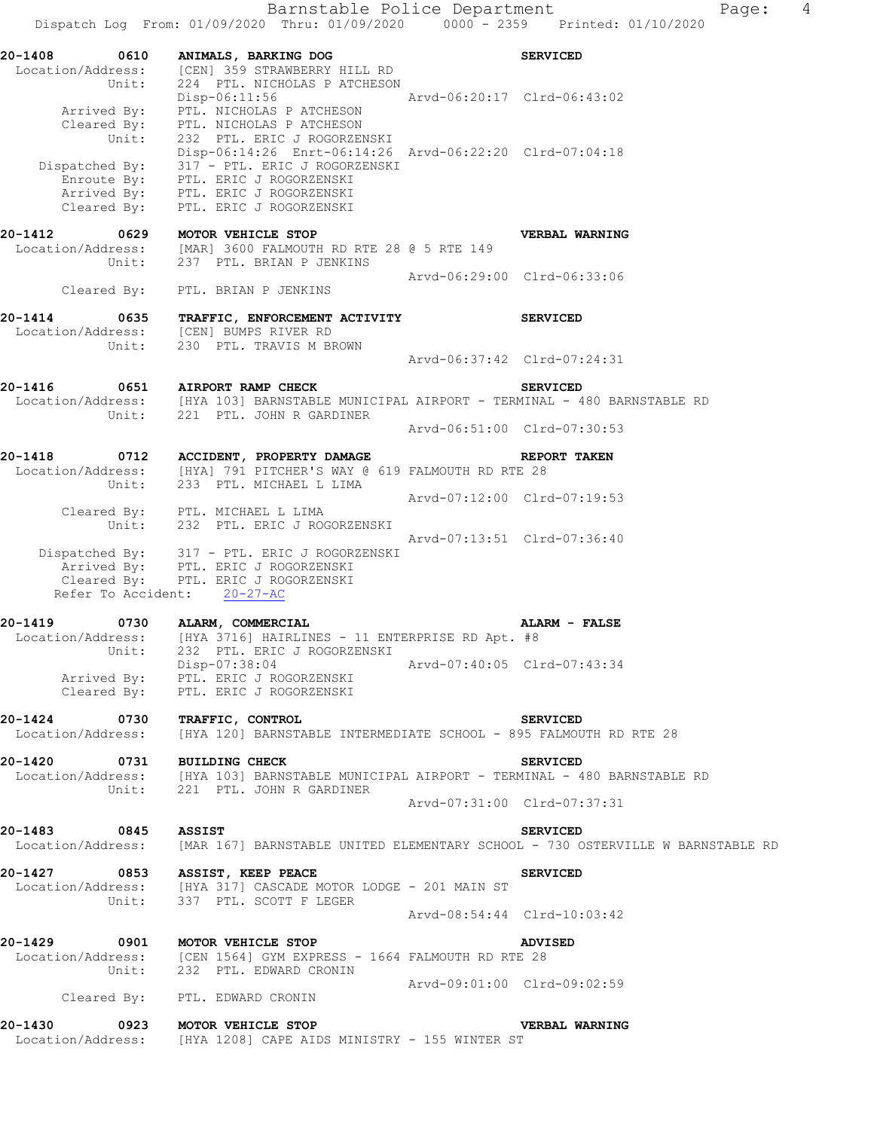Barnstable Police Department Fage: 4 Dispatch Log From: 01/09/2020 Thru: 01/09/2020 0000 - 2359 Printed: 01/10/2020 **20-1408 0610 ANIMALS, BARKING DOG SERVICED**  Location/Address: [CEN] 359 STRAWBERRY HILL RD Unit: 224 PTL. NICHOLAS P ATCHESON Disp-06:11:56 Arvd-06:20:17 Clrd-06:43:02 Arrived By: PTL. NICHOLAS P ATCHESON Cleared By: PTL. NICHOLAS P ATCHESON Unit: 232 PTL. ERIC J ROGORZENSKI Disp-06:14:26 Enrt-06:14:26 Arvd-06:22:20 Clrd-07:04:18 Dispatched By: 317 - PTL. ERIC J ROGORZENSKI .<br>Enroute Bv: PTL. ERIC J ROGORZENSKI Arrived By: PTL. ERIC J ROGORZENSKI Cleared By: PTL. ERIC J ROGORZENSKI **20-1412 0629 MOTOR VEHICLE STOP VERBAL WARNING**  Location/Address: [MAR] 3600 FALMOUTH RD RTE 28 @ 5 RTE 149 Unit: 237 PTL. BRIAN P JENKINS Arvd-06:29:00 Clrd-06:33:06 Cleared By: PTL. BRIAN P JENKINS **20-1414 0635 TRAFFIC, ENFORCEMENT ACTIVITY SERVICED**  Location/Address: [CEN] BUMPS RIVER RD Unit: 230 PTL. TRAVIS M BROWN 230 PTL. TRAVIS M BROWN<br>Arvd-06:37:42 Clrd-07:24:31 **20-1416 0651 AIRPORT RAMP CHECK SERVICED**  Location/Address: [HYA 103] BARNSTABLE MUNICIPAL AIRPORT - TERMINAL - 480 BARNSTABLE RD Unit: 221 PTL. JOHN R GARDINER Arvd-06:51:00 Clrd-07:30:53 **20-1418 0712 ACCIDENT, PROPERTY DAMAGE REPORT TAKEN**  Location/Address: [HYA] 791 PITCHER'S WAY @ 619 FALMOUTH RD RTE 28 Unit: 233 PTL. MICHAEL L LIMA Arvd-07:12:00 Clrd-07:19:53 Cleared By: PTL. MICHAEL L LIMA Unit: 232 PTL. ERIC J ROGORZENSKI Arvd-07:13:51 Clrd-07:36:40 Dispatched By: 317 - PTL. ERIC J ROGORZENSKI .<br>Arrived By: PTL. ERIC J ROGORZENSKI Cleared By: PTL. ERIC J ROGORZENSKI Refer To Accident: 20-27-AC **20-1419 0730 ALARM, COMMERCIAL ALARM - FALSE**  Location/Address: [HYA 3716] HAIRLINES - 11 ENTERPRISE RD Apt. #8 Unit: 232 PTL. ERIC J ROGORZENSKI Disp-07:38:04 Arvd-07:40:05 Clrd-07:43:34 Arrived By: PTL. ERIC J ROGORZENSKI Cleared By: PTL. ERIC J ROGORZENSKI **20-1424 0730 TRAFFIC, CONTROL SERVICED**  Location/Address: [HYA 120] BARNSTABLE INTERMEDIATE SCHOOL - 895 FALMOUTH RD RTE 28 **20-1420 0731 BUILDING CHECK SERVICED**  Location/Address: [HYA 103] BARNSTABLE MUNICIPAL AIRPORT - TERMINAL - 480 BARNSTABLE RD Unit: 221 PTL. JOHN R GARDINER Arvd-07:31:00 Clrd-07:37:31 **20-1483 0845 ASSIST SERVICED**  Location/Address: [MAR 167] BARNSTABLE UNITED ELEMENTARY SCHOOL - 730 OSTERVILLE W BARNSTABLE RD **20-1427 0853 ASSIST, KEEP PEACE SERVICED**  Location/Address: [HYA 317] CASCADE MOTOR LODGE - 201 MAIN ST Unit: 337 PTL. SCOTT F LEGER Arvd-08:54:44 Clrd-10:03:42 **20-1429 0901 MOTOR VEHICLE STOP ADVISED**  Location/Address: [CEN 1564] GYM EXPRESS - 1664 FALMOUTH RD RTE 28 Unit: 232 PTL. EDWARD CRONIN Arvd-09:01:00 Clrd-09:02:59 Cleared By: PTL. EDWARD CRONIN **20-1430 0923 MOTOR VEHICLE STOP VERBAL WARNING**  Location/Address: [HYA 1208] CAPE AIDS MINISTRY - 155 WINTER ST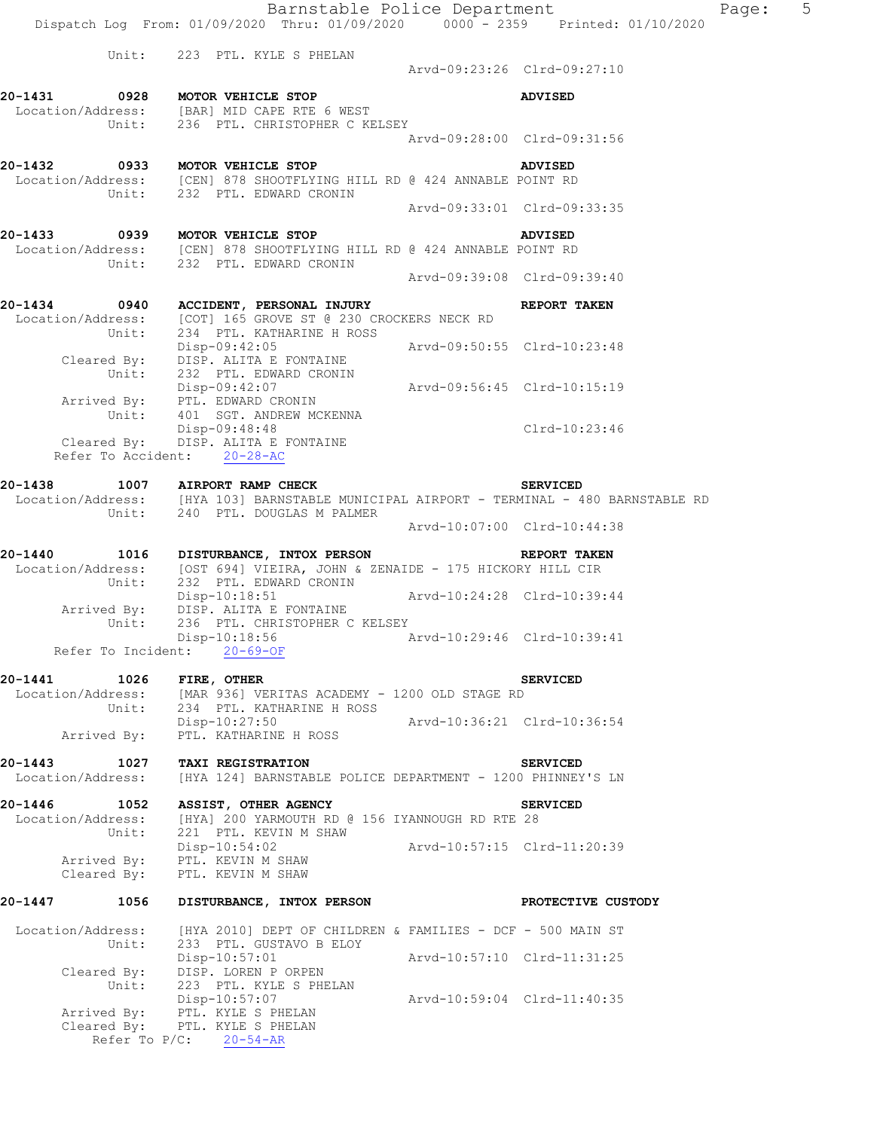Barnstable Police Department Page: 5 Dispatch Log From: 01/09/2020 Thru: 01/09/2020 0000 - 2359 Printed: 01/10/2020 Unit: 223 PTL. KYLE S PHELAN Arvd-09:23:26 Clrd-09:27:10 **20-1431 0928 MOTOR VEHICLE STOP ADVISED**  Location/Address: [BAR] MID CAPE RTE 6 WEST Unit: 236 PTL. CHRISTOPHER C KELSEY Arvd-09:28:00 Clrd-09:31:56 **20-1432 0933 MOTOR VEHICLE STOP ADVISED**  Location/Address: [CEN] 878 SHOOTFLYING HILL RD @ 424 ANNABLE POINT RD Unit: 232 PTL. EDWARD CRONIN Arvd-09:33:01 Clrd-09:33:35 **20-1433 0939 MOTOR VEHICLE STOP ADVISED**  Location/Address: [CEN] 878 SHOOTFLYING HILL RD @ 424 ANNABLE POINT RD Unit: 232 PTL. EDWARD CRONIN Arvd-09:39:08 Clrd-09:39:40 **20-1434 0940 ACCIDENT, PERSONAL INJURY REPORT TAKEN**  Location/Address: [COT] 165 GROVE ST @ 230 CROCKERS NECK RD Unit: 234 PTL. KATHARINE H ROSS Disp-09:42:05 Arvd-09:50:55 Clrd-10:23:48 Cleared By: DISP. ALITA E FONTAINE Unit: 232 PTL. EDWARD CRONIN Disp-09:42:07 Arvd-09:56:45 Clrd-10:15:19 Arrived By: PTL. EDWARD CRONIN Unit: 401 SGT. ANDREW MCKENNA Unit: 401 SGT. ANDREW MCKENNA<br>Disp-09:48:48 Clrd-10:23:46 Cleared By: DISP. ALITA E FONTAINE Refer To Accident: 20-28-AC **20-1438 1007 AIRPORT RAMP CHECK SERVICED**  Location/Address: [HYA 103] BARNSTABLE MUNICIPAL AIRPORT - TERMINAL - 480 BARNSTABLE RD Unit: 240 PTL. DOUGLAS M PALMER Arvd-10:07:00 Clrd-10:44:38 **20-1440 1016 DISTURBANCE, INTOX PERSON REPORT TAKEN**  Location/Address: [OST 694] VIEIRA, JOHN & ZENAIDE - 175 HICKORY HILL CIR Unit: 232 PTL. EDWARD CRONIN Disp-10:18:51 Arvd-10:24:28 Clrd-10:39:44 Arrived By: DISP. ALITA E FONTAINE Unit: 236 PTL. CHRISTOPHER C KELSEY Disp-10:18:56 Arvd-10:29:46 Clrd-10:39:41 Refer To Incident: 20-69-OF **20-1441 1026 FIRE, OTHER SERVICED**  Location/Address: [MAR 936] VERITAS ACADEMY - 1200 OLD STAGE RD Unit: 234 PTL. KATHARINE H ROSS Unit: 234 PTL. KATHARINE H ROSS<br>Disp-10:27:50 Arvd-10:36:21 Clrd-10:36:54 Arrived By: PTL. KATHARINE H ROSS **20-1443 1027 TAXI REGISTRATION SERVICED**  Location/Address: [HYA 124] BARNSTABLE POLICE DEPARTMENT - 1200 PHINNEY'S LN **20-1446 1052 ASSIST, OTHER AGENCY SERVICED**  Location/Address: [HYA] 200 YARMOUTH RD @ 156 IYANNOUGH RD RTE 28 Unit: 221 PTL. KEVIN M SHAW Disp-10:54:02 Arvd-10:57:15 Clrd-11:20:39 Arrived By: PTL. KEVIN M SHAW Cleared By: PTL. KEVIN M SHAW **20-1447 1056 DISTURBANCE, INTOX PERSON PROTECTIVE CUSTODY**  Location/Address: [HYA 2010] DEPT OF CHILDREN & FAMILIES - DCF - 500 MAIN ST Unit: 233 PTL. GUSTAVO B ELOY Disp-10:57:01 Arvd-10:57:10 Clrd-11:31:25 Cleared By: DISP. LOREN P ORPEN Unit: 223 PTL. KYLE S PHELAN Disp-10:57:07 Arvd-10:59:04 Clrd-11:40:35 Arrived By: PTL. KYLE S PHELAN Cleared By: PTL. KYLE S PHELAN

Refer To P/C: 20-54-AR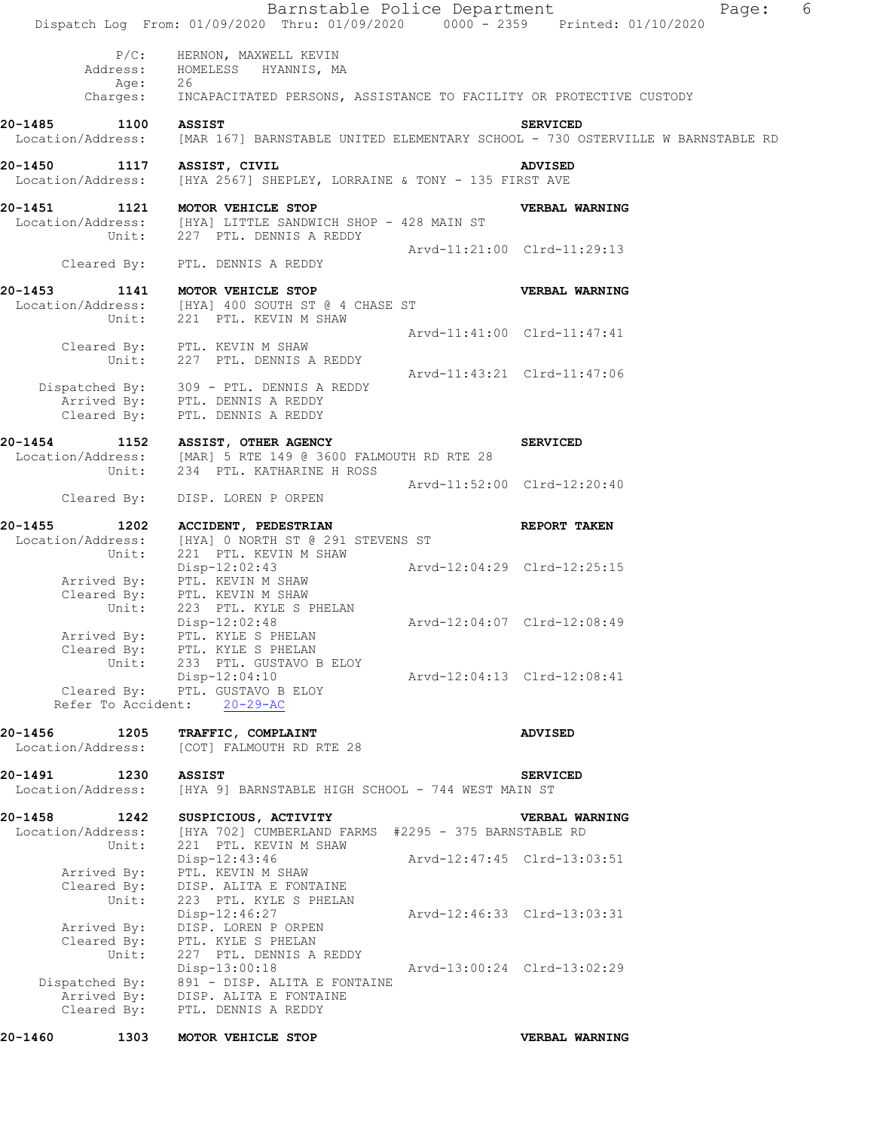|                                                    | 20-1460 1303 MOTOR VEHICLE STOP                                                                                                                     |                             | VERBAL WARNING                                                                                    |   |
|----------------------------------------------------|-----------------------------------------------------------------------------------------------------------------------------------------------------|-----------------------------|---------------------------------------------------------------------------------------------------|---|
| Unit:<br>Dispatched By:                            | 227 PTL. DENNIS A REDDY<br>$Disp-13:00:18$<br>891 - DISP. ALITA E FONTAINE<br>Arrived By: DISP. ALITA E FONTAINE<br>Cleared By: PTL. DENNIS A REDDY | Arvd-13:00:24 Clrd-13:02:29 |                                                                                                   |   |
| Cleared By:<br>Unit:<br>Arrived By:<br>Cleared By: | DISP. ALITA E FONTAINE<br>223 PTL. KYLE S PHELAN<br>Disp-12:46:27<br>DISP. LOREN P ORPEN<br>PTL. KYLE S PHELAN                                      | Arvd-12:46:33 Clrd-13:03:31 |                                                                                                   |   |
| Arrived By:                                        | Disp-12:43:46<br>PTL. KEVIN M SHAW                                                                                                                  |                             | Arvd-12:47:45 Clrd-13:03:51                                                                       |   |
| 20-1458 1242<br>Location/Address:<br>Unit:         | SUSPICIOUS, ACTIVITY<br>[HYA 702] CUMBERLAND FARMS #2295 - 375 BARNSTABLE RD<br>221 PTL. KEVIN M SHAW                                               |                             | VERBAL WARNING                                                                                    |   |
| 20-1491<br>1230<br>Location/Address:               | <b>ASSIST</b><br>[HYA 9] BARNSTABLE HIGH SCHOOL - 744 WEST MAIN ST                                                                                  |                             | <b>SERVICED</b>                                                                                   |   |
| 20-1456<br>1205<br>Location/Address:               | TRAFFIC, COMPLAINT<br>[COT] FALMOUTH RD RTE 28                                                                                                      |                             | <b>ADVISED</b>                                                                                    |   |
| Refer To Accident:                                 | $20 - 29 - AC$                                                                                                                                      |                             |                                                                                                   |   |
| Unit:                                              | 233 PTL. GUSTAVO B ELOY<br>$Disp-12:04:10$<br>Cleared By: PTL. GUSTAVO B ELOY                                                                       | Arvd-12:04:13 Clrd-12:08:41 |                                                                                                   |   |
| Arrived By:                                        | $Disp-12:02:48$<br>PTL. KYLE S PHELAN<br>Cleared By: PTL. KYLE S PHELAN                                                                             | Arvd-12:04:07 Clrd-12:08:49 |                                                                                                   |   |
| Unit:                                              | Arrived By: PTL. KEVIN M SHAW<br>Cleared By: PTL. KEVIN M SHAW<br>223 PTL. KYLE S PHELAN                                                            |                             |                                                                                                   |   |
| Location/Address:<br>Unit:                         | [HYA] 0 NORTH ST @ 291 STEVENS ST<br>221 PTL. KEVIN M SHAW<br>$Disp-12:02:43$                                                                       | Arvd-12:04:29 Clrd-12:25:15 |                                                                                                   |   |
| Cleared By:<br>20-1455<br>1202                     | DISP. LOREN P ORPEN<br>ACCIDENT, PEDESTRIAN                                                                                                         |                             | REPORT TAKEN                                                                                      |   |
| Unit:                                              | 234 PTL. KATHARINE H ROSS                                                                                                                           | Arvd-11:52:00 Clrd-12:20:40 |                                                                                                   |   |
| 20-1454<br>Location/Address:                       | 1152 ASSIST, OTHER AGENCY<br>[MAR] 5 RTE 149 @ 3600 FALMOUTH RD RTE 28                                                                              |                             | <b>SERVICED</b>                                                                                   |   |
| Cleared By:                                        | Dispatched By: 309 - PTL. DENNIS A REDDY<br>Arrived By: PTL. DENNIS A REDDY<br>PTL. DENNIS A REDDY                                                  |                             |                                                                                                   |   |
| Unit:                                              | 227 PTL. DENNIS A REDDY                                                                                                                             | Arvd-11:43:21 Clrd-11:47:06 |                                                                                                   |   |
| Unit:                                              | 221 PTL. KEVIN M SHAW<br>Cleared By: PTL. KEVIN M SHAW                                                                                              | Arvd-11:41:00 Clrd-11:47:41 |                                                                                                   |   |
| 20-1453                                            | 1141 MOTOR VEHICLE STOP<br>Location/Address: [HYA] 400 SOUTH ST @ 4 CHASE ST                                                                        |                             | VERBAL WARNING                                                                                    |   |
| Unit:                                              | 227 PTL. DENNIS A REDDY<br>Cleared By: PTL. DENNIS A REDDY                                                                                          |                             | Arvd-11:21:00 Clrd-11:29:13                                                                       |   |
|                                                    | 20-1451 1121 MOTOR VEHICLE STOP<br>Location/Address: [HYA] LITTLE SANDWICH SHOP - 428 MAIN ST                                                       |                             | VERBAL WARNING                                                                                    |   |
| 20-1450<br>1117<br>Location/Address:               | ASSIST, CIVIL<br>[HYA 2567] SHEPLEY, LORRAINE & TONY - 135 FIRST AVE                                                                                |                             | <b>ADVISED</b>                                                                                    |   |
| 20-1485 1100 ASSIST<br>Location/Address:           |                                                                                                                                                     |                             | <b>SERVICED</b><br>[MAR 167] BARNSTABLE UNITED ELEMENTARY SCHOOL - 730 OSTERVILLE W BARNSTABLE RD |   |
| Age:<br>Charges:                                   | 26<br>INCAPACITATED PERSONS, ASSISTANCE TO FACILITY OR PROTECTIVE CUSTODY                                                                           |                             |                                                                                                   |   |
| $P/C$ :<br>Address:                                | HERNON, MAXWELL KEVIN<br>HOMELESS HYANNIS, MA                                                                                                       |                             |                                                                                                   |   |
|                                                    | Barnstable Police Department<br>Dispatch Log From: 01/09/2020 Thru: 01/09/2020 0000 - 2359 Printed: 01/10/2020                                      |                             | Page:                                                                                             | 6 |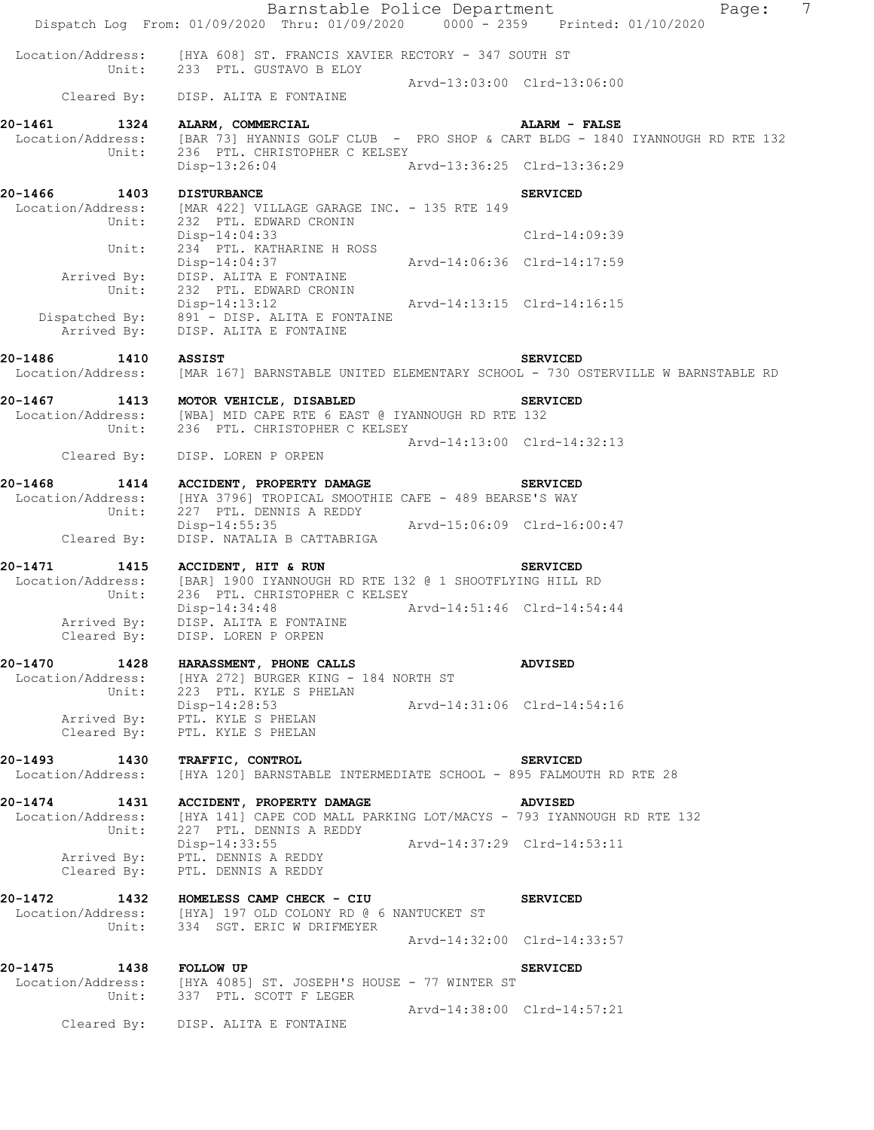|                               | Dispatch Log From: 01/09/2020 Thru: 01/09/2020 0000 - 2359 Printed: 01/10/2020                                                                    | Barnstable Police Department<br>7<br>Page:                                                                                             |  |
|-------------------------------|---------------------------------------------------------------------------------------------------------------------------------------------------|----------------------------------------------------------------------------------------------------------------------------------------|--|
|                               | Location/Address: [HYA 608] ST. FRANCIS XAVIER RECTORY - 347 SOUTH ST<br>Unit: 233 PTL. GUSTAVO B ELOY                                            |                                                                                                                                        |  |
|                               | Cleared By: DISP. ALITA E FONTAINE                                                                                                                | Arvd-13:03:00 Clrd-13:06:00                                                                                                            |  |
|                               | 20-1461 1324 ALARM, COMMERCIAL                                                                                                                    | <b>ALARM - FALSE</b>                                                                                                                   |  |
|                               |                                                                                                                                                   | Location/Address: [BAR 73] HYANNIS GOLF CLUB - PRO SHOP & CART BLDG - 1840 IYANNOUGH RD RTE 132<br>Unit: 236 PTL. CHRISTOPHER C KELSEY |  |
|                               | Disp-13:26:04 Arvd-13:36:25 Clrd-13:36:29                                                                                                         |                                                                                                                                        |  |
| 20-1466 1403 DISTURBANCE      | Location/Address: [MAR 422] VILLAGE GARAGE INC. - 135 RTE 149<br>Unit: 232 PTL. EDWARD CRONIN                                                     | <b>SERVICED</b>                                                                                                                        |  |
| Unit:                         | Disp-14:04:33                                                                                                                                     | $Clrd-14:09:39$                                                                                                                        |  |
| Unit:                         | Arrived By: DISP. ALITA E FONTAINE<br>232 PTL. EDWARD CRONIN                                                                                      |                                                                                                                                        |  |
|                               | Disp-14:13:12 Arvd-14:13:15 Clrd-14:16:15<br>Disp-14:13:12<br>Dispatched By: 891 - DISP. ALITA E FONTAINE<br>Arrived By: DISP. ALITA E FONTAINE   |                                                                                                                                        |  |
| 20-1486 1410 ASSIST           |                                                                                                                                                   | <b>SERVICED</b><br>Location/Address: [MAR 167] BARNSTABLE UNITED ELEMENTARY SCHOOL - 730 OSTERVILLE W BARNSTABLE RD                    |  |
|                               | 20-1467 1413 MOTOR VEHICLE, DISABLED<br>Location/Address: [WBA] MID CAPE RTE 6 EAST @ IYANNOUGH RD RTE 132<br>Unit: 236 PTL. CHRISTOPHER C KELSEY | <b>SERVICED</b>                                                                                                                        |  |
|                               | Cleared By: DISP. LOREN P ORPEN                                                                                                                   | Arvd-14:13:00 Clrd-14:32:13                                                                                                            |  |
|                               | 20-1468 1414 ACCIDENT, PROPERTY DAMAGE SERVICED                                                                                                   |                                                                                                                                        |  |
|                               | Location/Address: [HYA 3796] TROPICAL SMOOTHIE CAFE - 489 BEARSE'S WAY<br>Unit: 227 PTL. DENNIS A REDDY                                           |                                                                                                                                        |  |
| Cleared By:                   | Disp-14:55:35<br>DISP. NATALIA B CATTABRIGA                                                                                                       | Arvd-15:06:09 Clrd-16:00:47                                                                                                            |  |
|                               | 20-1471 1415 ACCIDENT, HIT & RUN SERVICED<br>Location/Address: [BAR] 1900 IYANNOUGH RD RTE 132 @ 1 SHOOTFLYING HILL RD                            |                                                                                                                                        |  |
|                               | Unit: 236 PTL. CHRISTOPHER C KELSEY<br>Disp-14:34:48<br>Arvd-14:51:46 Clrd-14:54:44<br>Arrived By: DISP. ALITA E FONTAINE                         |                                                                                                                                        |  |
| Cleared By:                   | DISP. LOREN P ORPEN                                                                                                                               |                                                                                                                                        |  |
|                               | 20-1470 1428 HARASSMENT, PHONE CALLS<br>Location/Address: [HYA 272] BURGER KING - 184 NORTH ST                                                    | <b>ADVISED</b>                                                                                                                         |  |
|                               | Unit: 223 PTL. KYLE S PHELAN<br>Disp-14:28:53<br>Arrived By: PTL. KYLE S PHELAN                                                                   | Arvd-14:31:06 Clrd-14:54:16                                                                                                            |  |
| Cleared By:                   | PTL. KYLE S PHELAN                                                                                                                                |                                                                                                                                        |  |
| 20-1493 1430 TRAFFIC, CONTROL |                                                                                                                                                   | <b>SERVICED</b>                                                                                                                        |  |
| Location/Address:             | [HYA 120] BARNSTABLE INTERMEDIATE SCHOOL - 895 FALMOUTH RD RTE 28                                                                                 |                                                                                                                                        |  |
|                               | 20-1474 1431 ACCIDENT, PROPERTY DAMAGE<br>Location/Address: [HYA 141] CAPE COD MALL PARKING LOT/MACYS - 793 IYANNOUGH RD RTE 132                  | <b>ADVISED</b>                                                                                                                         |  |
| Unit:                         | 227 PTL. DENNIS A REDDY<br>Disp-14:33:55                                                                                                          | Arvd-14:37:29 Clrd-14:53:11                                                                                                            |  |
| Cleared By:                   | Arrived By: PTL. DENNIS A REDDY<br>PTL. DENNIS A REDDY                                                                                            |                                                                                                                                        |  |
|                               | 20-1472 1432 HOMELESS CAMP CHECK - CIU<br>Location/Address: [HYA] 197 OLD COLONY RD @ 6 NANTUCKET ST<br>Unit: 334 SGT. ERIC W DRIFMEYER           | <b>SERVICED</b>                                                                                                                        |  |
|                               |                                                                                                                                                   | Arvd-14:32:00 Clrd-14:33:57                                                                                                            |  |
| 20-1475 1438 FOLLOW UP        |                                                                                                                                                   | <b>SERVICED</b>                                                                                                                        |  |
|                               | Location/Address: [HYA 4085] ST. JOSEPH'S HOUSE - 77 WINTER ST<br>Unit: 337 PTL. SCOTT F LEGER                                                    |                                                                                                                                        |  |
|                               | Cleared By: DISP. ALITA E FONTAINE                                                                                                                | Arvd-14:38:00 Clrd-14:57:21                                                                                                            |  |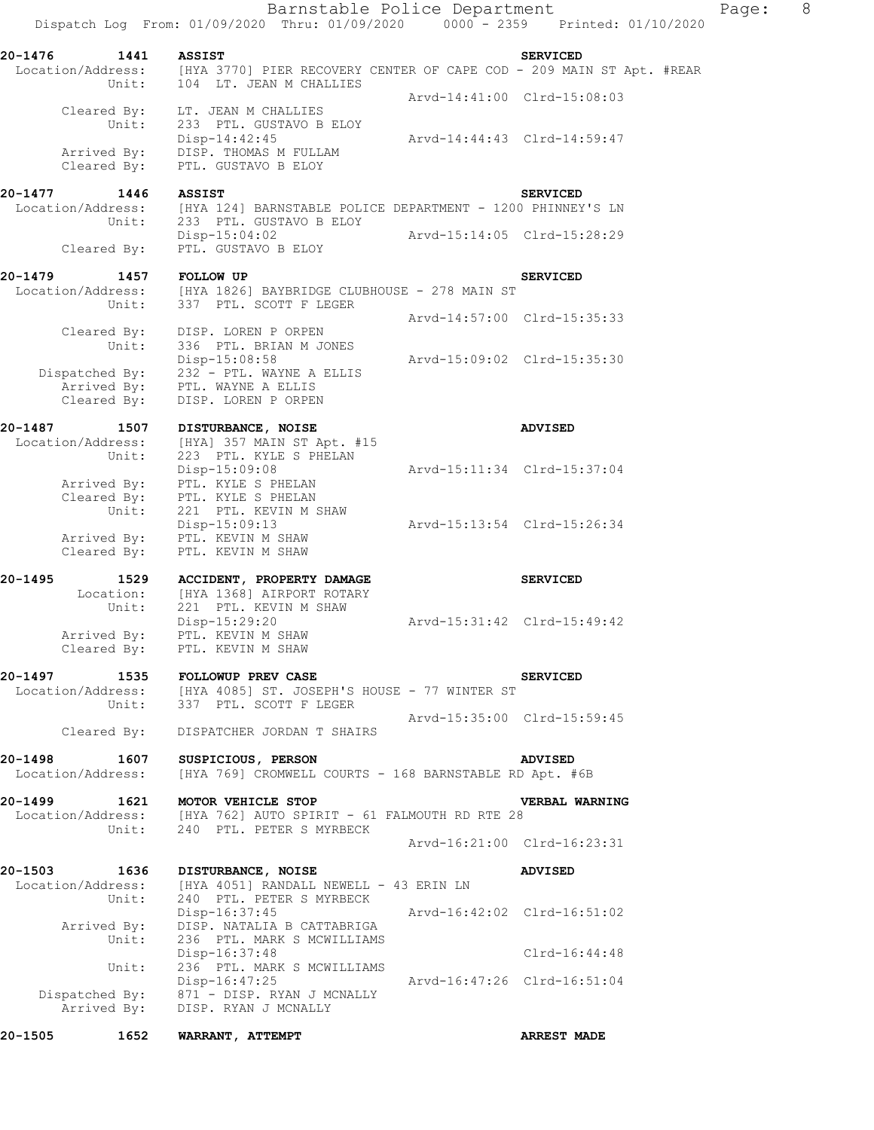Barnstable Police Department Page: 8 Dispatch Log From: 01/09/2020 Thru: 01/09/2020 0000 - 2359 Printed: 01/10/2020 **20-1476 1441 ASSIST SERVICED**  Location/Address: [HYA 3770] PIER RECOVERY CENTER OF CAPE COD - 209 MAIN ST Apt. #REAR Unit: 104 LT. JEAN M CHALLIES Arvd-14:41:00 Clrd-15:08:03 Cleared By: LT. JEAN M CHALLIES Unit: 233 PTL. GUSTAVO B ELOY Disp-14:42:45 Arvd-14:44:43 Clrd-14:59:47 Arrived By: DISP. THOMAS M FULLAM Cleared By: PTL. GUSTAVO B ELOY **20-1477 1446 ASSIST SERVICED**  [HYA 124] BARNSTABLE POLICE DEPARTMENT - 1200 PHINNEY'S LN Location/Address: [HYA 124] BARNSTABLE POLIC<br>Unit: 233 PTL. GUSTAVO B ELOY Disp-15:04:02 Arvd-15:14:05 Clrd-15:28:29 Cleared By: PTL. GUSTAVO B ELOY **20-1479 1457 FOLLOW UP SERVICED**  Location/Address: [HYA 1826] BAYBRIDGE CLUBHOUSE - 278 MAIN ST Unit: 337 PTL. SCOTT F LEGER Arvd-14:57:00 Clrd-15:35:33 Cleared By: DISP. LOREN P ORPEN Unit: 336 PTL. BRIAN M JONES Disp-15:08:58 Arvd-15:09:02 Clrd-15:35:30 Dispatched By: 232 - PTL. WAYNE A ELLIS Arrived By: PTL. WAYNE A ELLIS Cleared By: DISP. LOREN P ORPEN **20-1487 1507 DISTURBANCE, NOISE ADVISED**  Location/Address: [HYA] 357 MAIN ST Apt. #15 Unit: 223 PTL. KYLE S PHELAN Disp-15:09:08 Arvd-15:11:34 Clrd-15:37:04 Arrived By: PTL. KYLE S PHELAN Cleared By: PTL. KYLE S PHELAN Unit: 221 PTL. KEVIN M SHAW Disp-15:09:13 Arvd-15:13:54 Clrd-15:26:34 Arrived By: PTL. KEVIN M SHAW Cleared By: PTL. KEVIN M SHAW **20-1495 1529 ACCIDENT, PROPERTY DAMAGE SERVICED**  Location: [HYA 1368] AIRPORT ROTARY Unit: 221 PTL. KEVIN M SHAW Disp-15:29:20 Arvd-15:31:42 Clrd-15:49:42 Arrived By: PTL. KEVIN M SHAW Cleared By: PTL. KEVIN M SHAW **20-1497 1535 FOLLOWUP PREV CASE SERVICED**  Location/Address: [HYA 4085] ST. JOSEPH'S HOUSE - 77 WINTER ST Unit: 337 PTL. SCOTT F LEGER Arvd-15:35:00 Clrd-15:59:45 Cleared By: DISPATCHER JORDAN T SHAIRS **20-1498 1607 SUSPICIOUS, PERSON ADVISED**  Location/Address: [HYA 769] CROMWELL COURTS - 168 BARNSTABLE RD Apt. #6B **20-1499 1621 MOTOR VEHICLE STOP VERBAL WARNING**  Location/Address: [HYA 762] AUTO SPIRIT - 61 FALMOUTH RD RTE 28 Unit: 240 PTL. PETER S MYRBECK Arvd-16:21:00 Clrd-16:23:31 **20-1503 1636 DISTURBANCE, NOISE ADVISED**  Location/Address: [HYA 4051] RANDALL NEWELL - 43 ERIN LN Unit: 240 PTL. PETER S MYRBECK Disp-16:37:45 Arvd-16:42:02 Clrd-16:51:02 Arrived By: DISP. NATALIA B CATTABRIGA Unit: 236 PTL. MARK S MCWILLIAMS Disp-16:37:48 Clrd-16:44:48 Unit: 236 PTL. MARK S MCWILLIAMS Disp-16:47:25 Arvd-16:47:26 Clrd-16:51:04 Dispatched By: 871 - DISP. RYAN J MCNALLY .<br>Arrived By: DISP. RYAN J MCNALLY

**20-1505 1652 WARRANT, ATTEMPT ARREST MADE**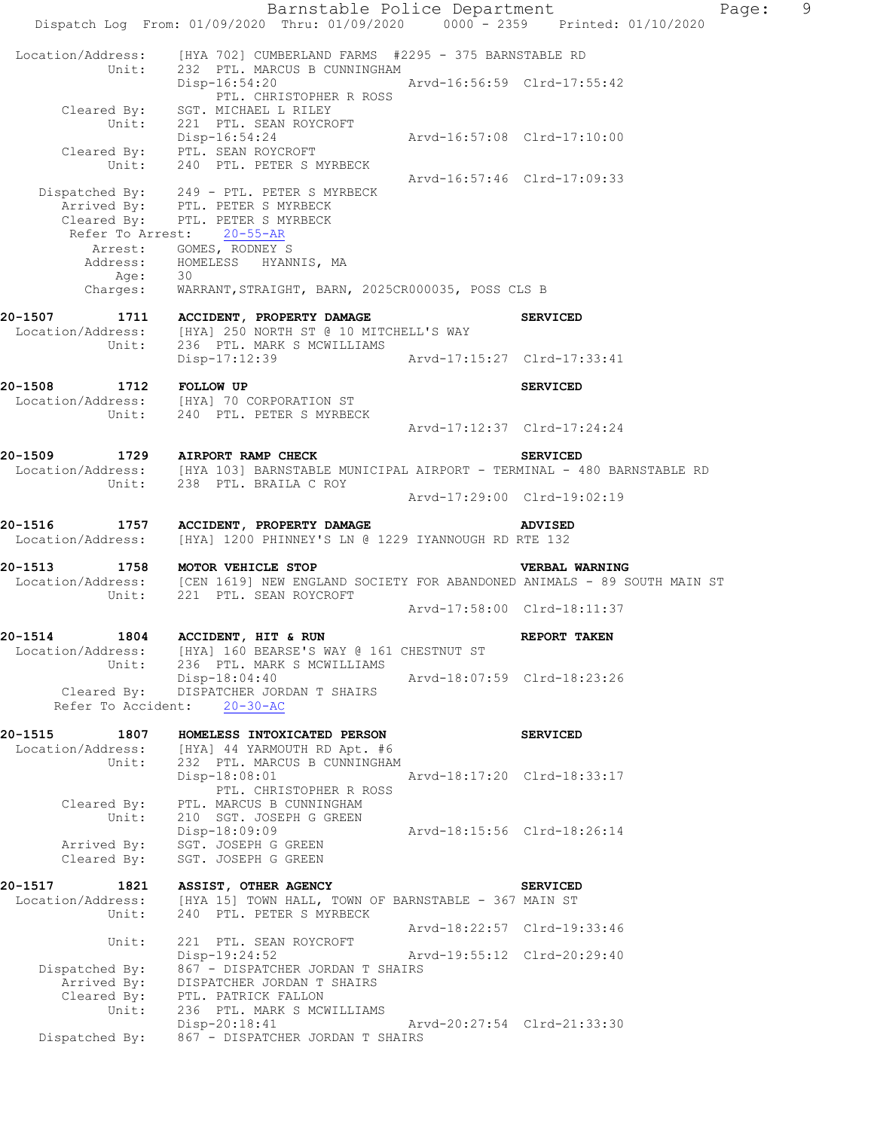Barnstable Police Department Page: 9 Dispatch Log From: 01/09/2020 Thru: 01/09/2020 0000 - 2359 Printed: 01/10/2020 Location/Address: [HYA 702] CUMBERLAND FARMS #2295 - 375 BARNSTABLE RD Unit: 232 PTL. MARCUS B CUNNINGHAM Disp-16:54:20 Arvd-16:56:59 Clrd-17:55:42 PTL. CHRISTOPHER R ROSS Cleared By: SGT. MICHAEL L RILEY Unit: 221 PTL. SEAN ROYCROFT Disp-16:54:24 Arvd-16:57:08 Clrd-17:10:00 Cleared By: PTL. SEAN ROYCROFT Unit: 240 PTL. PETER S MYRBECK Arvd-16:57:46 Clrd-17:09:33 Dispatched By: 249 - PTL. PETER S MYRBECK .<br>Arrived By: PTL. PETER S MYRBECK Cleared By: PTL. PETER S MYRBECK Refer To Arrest: 20-55-AR Arrest: GOMES, RODNEY S Address: HOMELESS HYANNIS, MA Age: 30 Charges: WARRANT,STRAIGHT, BARN, 2025CR000035, POSS CLS B **20-1507 1711 ACCIDENT, PROPERTY DAMAGE SERVICED**  Location/Address: [HYA] 250 NORTH ST @ 10 MITCHELL'S WAY Unit: 236 PTL. MARK S MCWILLIAMS Disp-17:12:39 Arvd-17:15:27 Clrd-17:33:41 **20-1508 1712 FOLLOW UP SERVICED**  Location/Address: [HYA] 70 CORPORATION ST Unit: 240 PTL. PETER S MYRBECK Arvd-17:12:37 Clrd-17:24:24 **20-1509 1729 AIRPORT RAMP CHECK SERVICED**  Location/Address: [HYA 103] BARNSTABLE MUNICIPAL AIRPORT - TERMINAL - 480 BARNSTABLE RD Unit: 238 PTL. BRAILA C ROY Arvd-17:29:00 Clrd-19:02:19 **20-1516 1757 ACCIDENT, PROPERTY DAMAGE ADVISED**  Location/Address: [HYA] 1200 PHINNEY'S LN @ 1229 IYANNOUGH RD RTE 132 **20-1513 1758 MOTOR VEHICLE STOP VERBAL WARNING**  Location/Address: [CEN 1619] NEW ENGLAND SOCIETY FOR ABANDONED ANIMALS - 89 SOUTH MAIN ST Unit: 221 PTL. SEAN ROYCROFT Arvd-17:58:00 Clrd-18:11:37 **20-1514 1804 ACCIDENT, HIT & RUN REPORT TAKEN**  Location/Address: [HYA] 160 BEARSE'S WAY @ 161 CHESTNUT ST Unit: 236 PTL. MARK S MCWILLIAMS Disp-18:04:40 Arvd-18:07:59 Clrd-18:23:26 Cleared By: DISPATCHER JORDAN T SHAIRS Refer To Accident: 20-30-AC **20-1515 1807 HOMELESS INTOXICATED PERSON SERVICED**  Location/Address: [HYA] 44 YARMOUTH RD Apt. #6 Unit: 232 PTL. MARCUS B CUNNINGHAM Disp-18:08:01 Arvd-18:17:20 Clrd-18:33:17 PTL. CHRISTOPHER R ROSS Cleared By: PTL. MARCUS B CUNNINGHAM Unit: 210 SGT. JOSEPH G GREEN Disp-18:09:09 Arvd-18:15:56 Clrd-18:26:14 Arrived By: SGT. JOSEPH G GREEN Cleared By: SGT. JOSEPH G GREEN **20-1517 1821 ASSIST, OTHER AGENCY SERVICED**  Location/Address: [HYA 15] TOWN HALL, TOWN OF BARNSTABLE - 367 MAIN ST Unit: 240 PTL. PETER S MYRBECK Arvd-18:22:57 Clrd-19:33:46 Unit: 221 PTL. SEAN ROYCROFT Disp-19:24:52 Arvd-19:55:12 Clrd-20:29:40 Dispatched By: Disp-19:24:52 Arvd-19:55:12 Clrd-20:29:40<br>Dispatched By: 867 - DISPATCHER JORDAN T SHAIRS Arrived By: DISPATCHER JORDAN T SHAIRS Cleared By: PTL. PATRICK FALLON Unit: 236 PTL. MARK S MCWILLIAMS Disp-20:18:41 Arvd-20:27:54 Clrd-21:33:30 Dispatched By: 867 - DISPATCHER JORDAN T SHAIRS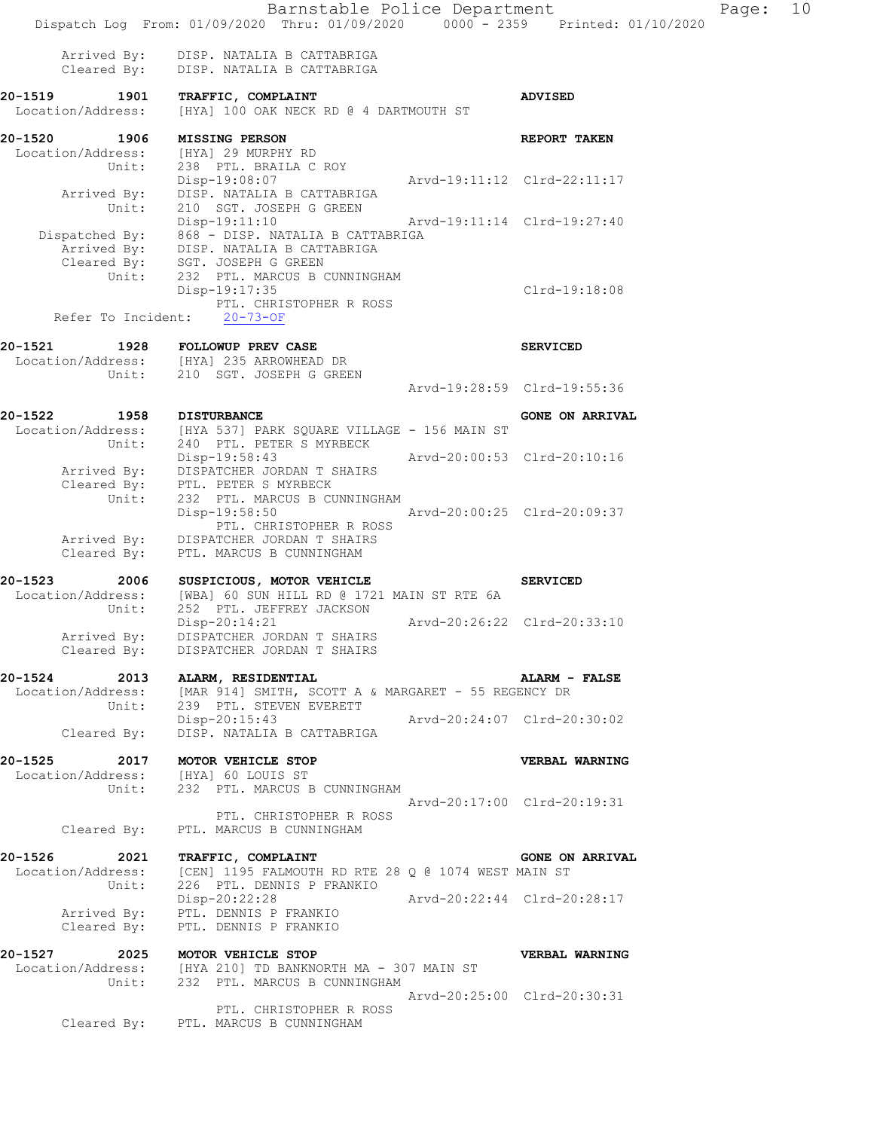|                                     | Barnstable Police Department<br>Dispatch Log From: 01/09/2020 Thru: 01/09/2020 0000 - 2359 Printed: 01/10/2020                                                     |                             |                             | Page: | 10 |
|-------------------------------------|--------------------------------------------------------------------------------------------------------------------------------------------------------------------|-----------------------------|-----------------------------|-------|----|
|                                     | Arrived By: DISP. NATALIA B CATTABRIGA                                                                                                                             |                             |                             |       |    |
|                                     | Cleared By: DISP. NATALIA B CATTABRIGA                                                                                                                             |                             |                             |       |    |
| 20-1519<br>Location/Address:        | 1901 TRAFFIC, COMPLAINT<br>[HYA] 100 OAK NECK RD @ 4 DARTMOUTH ST                                                                                                  |                             | <b>ADVISED</b>              |       |    |
| 20-1520 1906 MISSING PERSON         |                                                                                                                                                                    |                             | REPORT TAKEN                |       |    |
|                                     | Location/Address: [HYA] 29 MURPHY RD<br>Unit: 238 PTL. BRAILA C ROY                                                                                                |                             |                             |       |    |
|                                     | Disp-19:08:07                                                                                                                                                      | Arvd-19:11:12 Clrd-22:11:17 |                             |       |    |
|                                     | Arrived By: DISP. NATALIA B CATTABRIGA<br>Unit: 210 SGT. JOSEPH G GREEN                                                                                            |                             |                             |       |    |
|                                     | Disp-19:11:10 Arvd-19:11:14 Clrd-19:27:40                                                                                                                          |                             |                             |       |    |
|                                     | Dispatched By: 868 - DISP. NATALIA B CATTABRIGA<br>Arrived By: DISP. NATALIA B CATTABRIGA<br>Cleared By: SGT. JOSEPH G GREEN<br>Unit: 232 PTL. MARCUS B CUNNINGHAM |                             |                             |       |    |
|                                     |                                                                                                                                                                    |                             |                             |       |    |
|                                     | Disp-19:17:35                                                                                                                                                      |                             | Clrd-19:18:08               |       |    |
|                                     | PTL. CHRISTOPHER R ROSS                                                                                                                                            |                             |                             |       |    |
|                                     | Refer To Incident: 20-73-OF                                                                                                                                        |                             |                             |       |    |
| 20-1521 1928 FOLLOWUP PREV CASE     |                                                                                                                                                                    |                             | <b>SERVICED</b>             |       |    |
|                                     | Location/Address: [HYA] 235 ARROWHEAD DR                                                                                                                           |                             |                             |       |    |
|                                     | Unit: 210 SGT. JOSEPH G GREEN                                                                                                                                      |                             | Arvd-19:28:59 Clrd-19:55:36 |       |    |
|                                     |                                                                                                                                                                    |                             |                             |       |    |
| 20-1522                             | 1958 DISTURBANCE<br>Location/Address: [HYA 537] PARK SQUARE VILLAGE - 156 MAIN ST                                                                                  |                             | <b>GONE ON ARRIVAL</b>      |       |    |
|                                     | Unit: 240 PTL. PETER S MYRBECK                                                                                                                                     |                             |                             |       |    |
|                                     | Disp-19:58:43 Arvd-20:00:53 Clrd-20:10:16<br>Arrived By: DISPATCHER JORDAN T SHAIRS                                                                                |                             |                             |       |    |
|                                     | Cleared By: PTL. PETER S MYRBECK<br>Unit: 232 PTL. MARCUS B CU                                                                                                     |                             |                             |       |    |
|                                     | 232 PTL. MARCUS B CUNNINGHAM<br>Disp-19:58:50 Arvd-20:00:25 Clrd-20:09:37                                                                                          |                             |                             |       |    |
|                                     | PTL. CHRISTOPHER R ROSS                                                                                                                                            |                             |                             |       |    |
| Cleared By:                         | Arrived By: DISPATCHER JORDAN T SHAIRS<br>PTL. MARCUS B CUNNINGHAM                                                                                                 |                             |                             |       |    |
|                                     | 20-1523 2006 SUSPICIOUS, MOTOR VEHICLE                                                                                                                             |                             |                             |       |    |
|                                     | Location/Address: [WBA] 60 SUN HILL RD @ 1721 MAIN ST RTE 6A                                                                                                       |                             | <b>SERVICED</b>             |       |    |
| Unit:                               | 252 PTL. JEFFREY JACKSON                                                                                                                                           |                             |                             |       |    |
|                                     | $Disp-20:14:21$<br>Arrived By: DISPATCHER JORDAN T SHAIRS                                                                                                          | Arvd-20:26:22 Clrd-20:33:10 |                             |       |    |
| Cleared By:                         | DISPATCHER JORDAN T SHAIRS                                                                                                                                         |                             |                             |       |    |
| 20-1524 2013 ALARM, RESIDENTIAL     |                                                                                                                                                                    |                             | ALARM - FALSE               |       |    |
|                                     | Location/Address: [MAR 914] SMITH, SCOTT A & MARGARET - 55 REGENCY DR<br>Unit: 239 PTL. STEVEN EVERETT                                                             |                             |                             |       |    |
|                                     | Disp-20:15:43                                                                                                                                                      | Arvd-20:24:07 Clrd-20:30:02 |                             |       |    |
| Cleared By:                         | DISP. NATALIA B CATTABRIGA                                                                                                                                         |                             |                             |       |    |
| 20-1525                             | 2017 MOTOR VEHICLE STOP                                                                                                                                            |                             | VERBAL WARNING              |       |    |
| Location/Address: [HYA] 60 LOUIS ST | Unit: 232 PTL. MARCUS B CUNNINGHAM                                                                                                                                 |                             |                             |       |    |
|                                     |                                                                                                                                                                    | Arvd-20:17:00 Clrd-20:19:31 |                             |       |    |
| Cleared By:                         | PTL. CHRISTOPHER R ROSS<br>PTL. MARCUS B CUNNINGHAM                                                                                                                |                             |                             |       |    |
|                                     |                                                                                                                                                                    |                             |                             |       |    |
| 20-1526                             | 2021 TRAFFIC, COMPLAINT<br>Location/Address: [CEN] 1195 FALMOUTH RD RTE 28 Q @ 1074 WEST MAIN ST                                                                   |                             | <b>GONE ON ARRIVAL</b>      |       |    |
| Unit:                               | 226 PTL. DENNIS P FRANKIO                                                                                                                                          |                             |                             |       |    |
|                                     | Disp-20:22:28 Arvd-20:22:44 Clrd-20:28:17                                                                                                                          |                             |                             |       |    |
|                                     | Arrived By: PTL. DENNIS P FRANKIO<br>Cleared By: PTL. DENNIS P FRANKIO                                                                                             |                             |                             |       |    |
| 20-1527 2025 MOTOR VEHICLE STOP     |                                                                                                                                                                    |                             | <b>VERBAL WARNING</b>       |       |    |
|                                     | Location/Address: [HYA 210] TD BANKNORTH MA - 307 MAIN ST                                                                                                          |                             |                             |       |    |
|                                     | Unit: 232 PTL. MARCUS B CUNNINGHAM                                                                                                                                 |                             | Arvd-20:25:00 Clrd-20:30:31 |       |    |
|                                     | PTL. CHRISTOPHER R ROSS                                                                                                                                            |                             |                             |       |    |
|                                     | Cleared By: PTL. MARCUS B CUNNINGHAM                                                                                                                               |                             |                             |       |    |